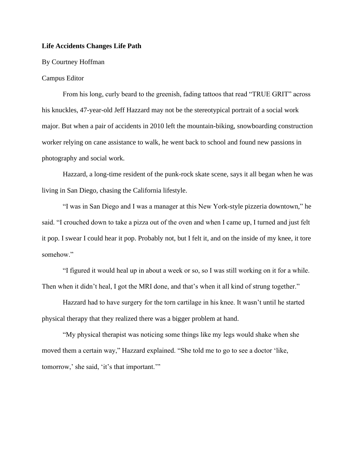## **Life Accidents Changes Life Path**

## By Courtney Hoffman

## Campus Editor

From his long, curly beard to the greenish, fading tattoos that read "TRUE GRIT" across his knuckles, 47-year-old Jeff Hazzard may not be the stereotypical portrait of a social work major. But when a pair of accidents in 2010 left the mountain-biking, snowboarding construction worker relying on cane assistance to walk, he went back to school and found new passions in photography and social work.

Hazzard, a long-time resident of the punk-rock skate scene, says it all began when he was living in San Diego, chasing the California lifestyle.

"I was in San Diego and I was a manager at this New York-style pizzeria downtown," he said. "I crouched down to take a pizza out of the oven and when I came up, I turned and just felt it pop. I swear I could hear it pop. Probably not, but I felt it, and on the inside of my knee, it tore somehow."

"I figured it would heal up in about a week or so, so I was still working on it for a while. Then when it didn't heal, I got the MRI done, and that's when it all kind of strung together."

Hazzard had to have surgery for the torn cartilage in his knee. It wasn't until he started physical therapy that they realized there was a bigger problem at hand.

"My physical therapist was noticing some things like my legs would shake when she moved them a certain way," Hazzard explained. "She told me to go to see a doctor 'like, tomorrow,' she said, 'it's that important.'"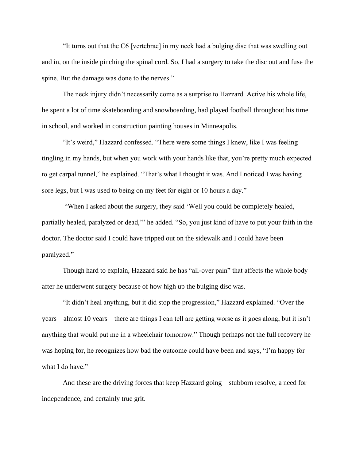"It turns out that the C6 [vertebrae] in my neck had a bulging disc that was swelling out and in, on the inside pinching the spinal cord. So, I had a surgery to take the disc out and fuse the spine. But the damage was done to the nerves."

The neck injury didn't necessarily come as a surprise to Hazzard. Active his whole life, he spent a lot of time skateboarding and snowboarding, had played football throughout his time in school, and worked in construction painting houses in Minneapolis.

"It's weird," Hazzard confessed. "There were some things I knew, like I was feeling tingling in my hands, but when you work with your hands like that, you're pretty much expected to get carpal tunnel," he explained. "That's what I thought it was. And I noticed I was having sore legs, but I was used to being on my feet for eight or 10 hours a day."

"When I asked about the surgery, they said 'Well you could be completely healed, partially healed, paralyzed or dead,'" he added. "So, you just kind of have to put your faith in the doctor. The doctor said I could have tripped out on the sidewalk and I could have been paralyzed."

Though hard to explain, Hazzard said he has "all-over pain" that affects the whole body after he underwent surgery because of how high up the bulging disc was.

"It didn't heal anything, but it did stop the progression," Hazzard explained. "Over the years—almost 10 years—there are things I can tell are getting worse as it goes along, but it isn't anything that would put me in a wheelchair tomorrow." Though perhaps not the full recovery he was hoping for, he recognizes how bad the outcome could have been and says, "I'm happy for what I do have."

And these are the driving forces that keep Hazzard going—stubborn resolve, a need for independence, and certainly true grit.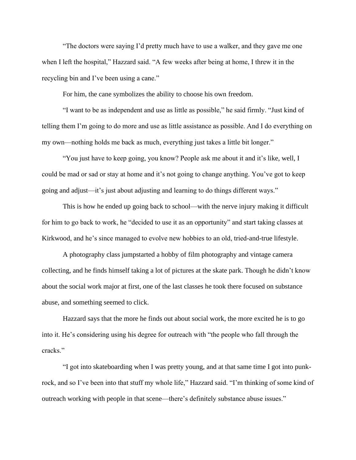"The doctors were saying I'd pretty much have to use a walker, and they gave me one when I left the hospital," Hazzard said. "A few weeks after being at home, I threw it in the recycling bin and I've been using a cane."

For him, the cane symbolizes the ability to choose his own freedom.

"I want to be as independent and use as little as possible," he said firmly. "Just kind of telling them I'm going to do more and use as little assistance as possible. And I do everything on my own—nothing holds me back as much, everything just takes a little bit longer."

"You just have to keep going, you know? People ask me about it and it's like, well, I could be mad or sad or stay at home and it's not going to change anything. You've got to keep going and adjust—it's just about adjusting and learning to do things different ways."

This is how he ended up going back to school—with the nerve injury making it difficult for him to go back to work, he "decided to use it as an opportunity" and start taking classes at Kirkwood, and he's since managed to evolve new hobbies to an old, tried-and-true lifestyle.

A photography class jumpstarted a hobby of film photography and vintage camera collecting, and he finds himself taking a lot of pictures at the skate park. Though he didn't know about the social work major at first, one of the last classes he took there focused on substance abuse, and something seemed to click.

Hazzard says that the more he finds out about social work, the more excited he is to go into it. He's considering using his degree for outreach with "the people who fall through the cracks."

"I got into skateboarding when I was pretty young, and at that same time I got into punkrock, and so I've been into that stuff my whole life," Hazzard said. "I'm thinking of some kind of outreach working with people in that scene—there's definitely substance abuse issues."